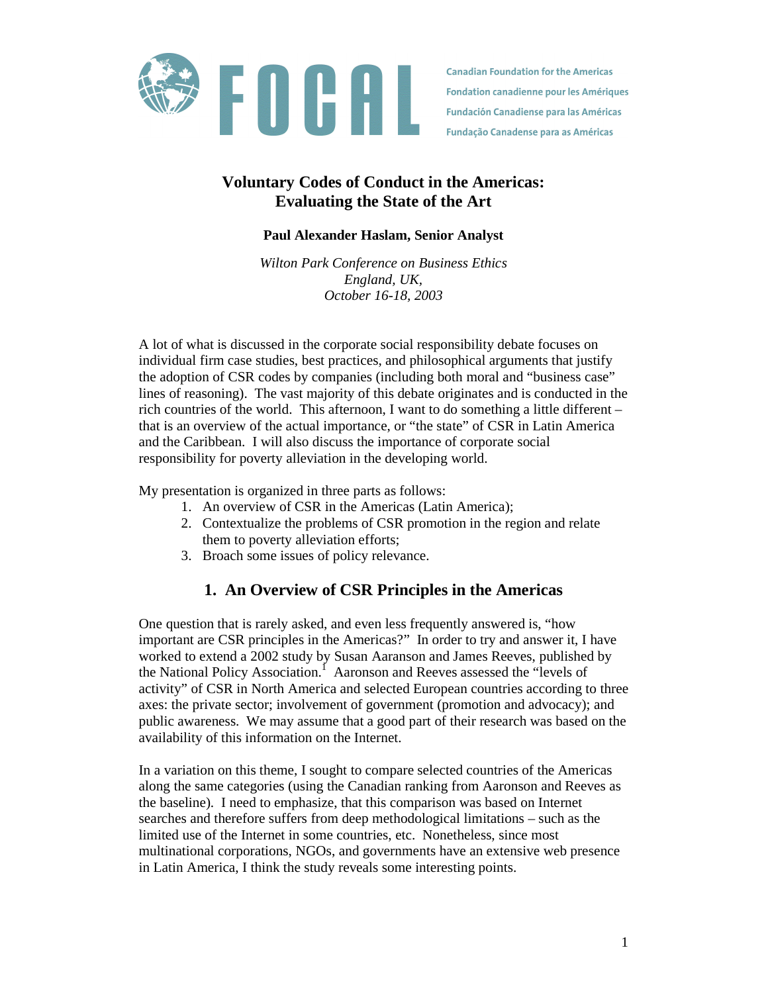

**Canadian Foundation for the Americas Fondation canadienne pour les Amériques Fundación Canadiense para las Américas Fundação Canadense para as Américas** 

## **Voluntary Codes of Conduct in the Americas: Evaluating the State of the Art**

### **Paul Alexander Haslam, Senior Analyst**

*Wilton Park Conference on Business Ethics England, UK, October 16-18, 2003*

A lot of what is discussed in the corporate social responsibility debate focuses on individual firm case studies, best practices, and philosophical arguments that justify the adoption of CSR codes by companies (including both moral and "business case" lines of reasoning). The vast majority of this debate originates and is conducted in the rich countries of the world. This afternoon, I want to do something a little different – that is an overview of the actual importance, or "the state" of CSR in Latin America and the Caribbean. I will also discuss the importance of corporate social responsibility for poverty alleviation in the developing world.

My presentation is organized in three parts as follows:

- 1. An overview of CSR in the Americas (Latin America);
- 2. Contextualize the problems of CSR promotion in the region and relate them to poverty alleviation efforts;
- 3. Broach some issues of policy relevance.

# **1. An Overview of CSR Principles in the Americas**

One question that is rarely asked, and even less frequently answered is, "how important are CSR principles in the Americas?" In order to try and answer it, I have worked to extend a 2002 study by Susan Aaranson and James Reeves, published by the National Policy Association.<sup>1</sup> Aaronson and Reeves assessed the "levels of activity" of CSR in North America and selected European countries according to three axes: the private sector; involvement of government (promotion and advocacy); and public awareness. We may assume that a good part of their research was based on the availability of this information on the Internet.

In a variation on this theme, I sought to compare selected countries of the Americas along the same categories (using the Canadian ranking from Aaronson and Reeves as the baseline). I need to emphasize, that this comparison was based on Internet searches and therefore suffers from deep methodological limitations – such as the limited use of the Internet in some countries, etc. Nonetheless, since most multinational corporations, NGOs, and governments have an extensive web presence in Latin America, I think the study reveals some interesting points.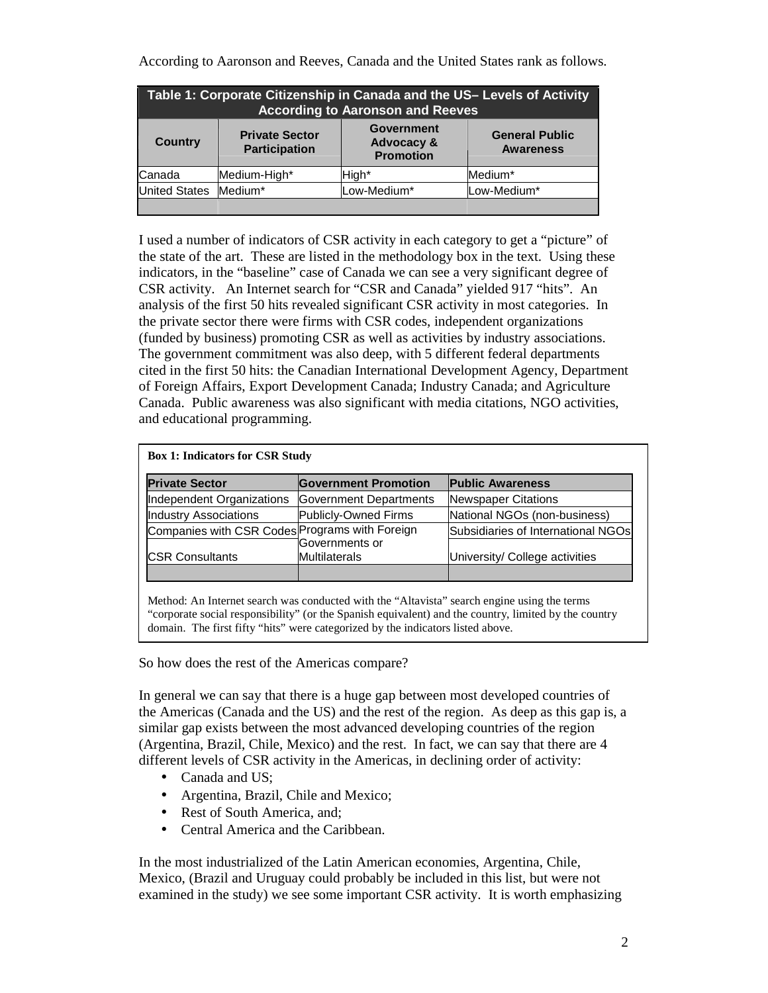According to Aaronson and Reeves, Canada and the United States rank as follows.

| Table 1: Corporate Citizenship in Canada and the US- Levels of Activity<br><b>According to Aaronson and Reeves</b> |                                               |                                                                |                                           |  |  |
|--------------------------------------------------------------------------------------------------------------------|-----------------------------------------------|----------------------------------------------------------------|-------------------------------------------|--|--|
| <b>Country</b>                                                                                                     | <b>Private Sector</b><br><b>Participation</b> | <b>Government</b><br><b>Advocacy &amp;</b><br><b>Promotion</b> | <b>General Public</b><br><b>Awareness</b> |  |  |
| Canada                                                                                                             | Medium-High*                                  | High*                                                          | Medium*                                   |  |  |
| <b>United States</b>                                                                                               | Medium*                                       | Low-Medium*                                                    | Low-Medium*                               |  |  |
|                                                                                                                    |                                               |                                                                |                                           |  |  |

I used a number of indicators of CSR activity in each category to get a "picture" of the state of the art. These are listed in the methodology box in the text. Using these indicators, in the "baseline" case of Canada we can see a very significant degree of CSR activity. An Internet search for "CSR and Canada" yielded 917 "hits". An analysis of the first 50 hits revealed significant CSR activity in most categories. In the private sector there were firms with CSR codes, independent organizations (funded by business) promoting CSR as well as activities by industry associations. The government commitment was also deep, with 5 different federal departments cited in the first 50 hits: the Canadian International Development Agency, Department of Foreign Affairs, Export Development Canada; Industry Canada; and Agriculture Canada. Public awareness was also significant with media citations, NGO activities, and educational programming.

| <b>Private Sector</b>                          | <b>Government Promotion</b> | <b>Public Awareness</b>            |
|------------------------------------------------|-----------------------------|------------------------------------|
| Independent Organizations                      | Government Departments      | Newspaper Citations                |
| <b>Industry Associations</b>                   | Publicly-Owned Firms        | National NGOs (non-business)       |
| Companies with CSR Codes Programs with Foreign | lGovernments or             | Subsidiaries of International NGOs |
| <b>ICSR Consultants</b>                        | Multilaterals               | University/ College activities     |
|                                                |                             |                                    |

Method: An Internet search was conducted with the "Altavista" search engine using the terms "corporate social responsibility" (or the Spanish equivalent) and the country, limited by the country domain. The first fifty "hits" were categorized by the indicators listed above.

So how does the rest of the Americas compare?

In general we can say that there is a huge gap between most developed countries of the Americas (Canada and the US) and the rest of the region. As deep as this gap is, a similar gap exists between the most advanced developing countries of the region (Argentina, Brazil, Chile, Mexico) and the rest. In fact, we can say that there are 4 different levels of CSR activity in the Americas, in declining order of activity:

- Canada and US;
- Argentina, Brazil, Chile and Mexico;
- Rest of South America, and;
- Central America and the Caribbean.

In the most industrialized of the Latin American economies, Argentina, Chile, Mexico, (Brazil and Uruguay could probably be included in this list, but were not examined in the study) we see some important CSR activity. It is worth emphasizing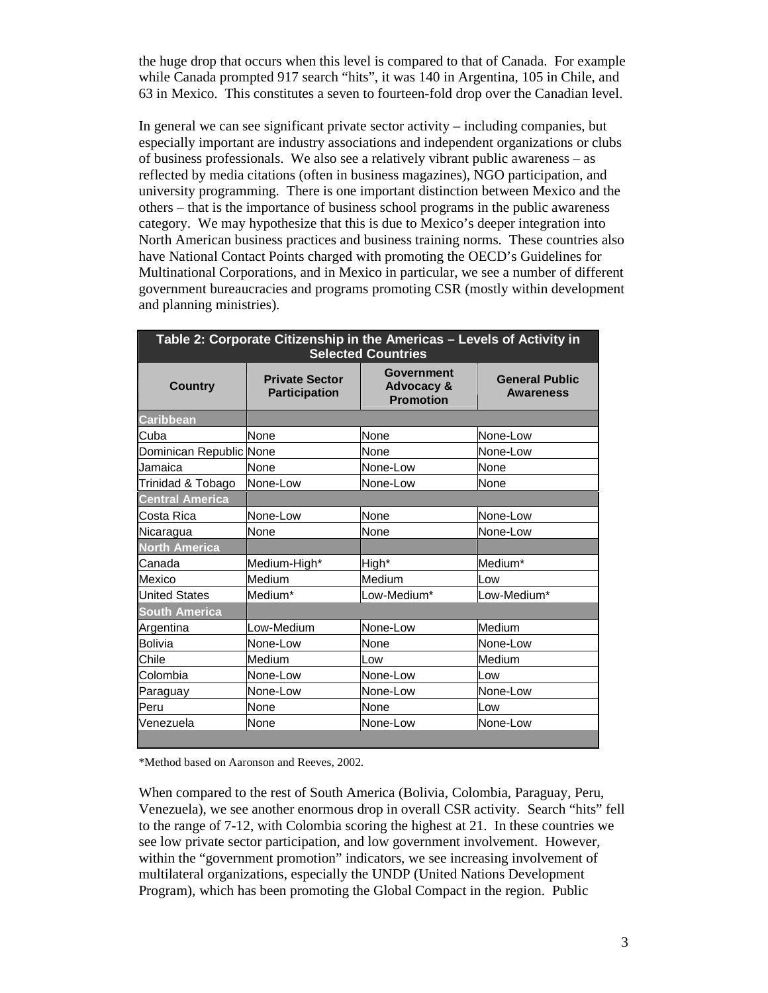the huge drop that occurs when this level is compared to that of Canada. For example while Canada prompted 917 search "hits", it was 140 in Argentina, 105 in Chile, and 63 in Mexico. This constitutes a seven to fourteen-fold drop over the Canadian level.

In general we can see significant private sector activity – including companies, but especially important are industry associations and independent organizations or clubs of business professionals. We also see a relatively vibrant public awareness – as reflected by media citations (often in business magazines), NGO participation, and university programming. There is one important distinction between Mexico and the others – that is the importance of business school programs in the public awareness category. We may hypothesize that this is due to Mexico's deeper integration into North American business practices and business training norms. These countries also have National Contact Points charged with promoting the OECD's Guidelines for Multinational Corporations, and in Mexico in particular, we see a number of different government bureaucracies and programs promoting CSR (mostly within development and planning ministries).

| Table 2: Corporate Citizenship in the Americas - Levels of Activity in<br><b>Selected Countries</b> |                                               |                                                                |                                           |  |  |  |
|-----------------------------------------------------------------------------------------------------|-----------------------------------------------|----------------------------------------------------------------|-------------------------------------------|--|--|--|
| <b>Country</b>                                                                                      | <b>Private Sector</b><br><b>Participation</b> | <b>Government</b><br><b>Advocacy &amp;</b><br><b>Promotion</b> | <b>General Public</b><br><b>Awareness</b> |  |  |  |
| Caribbean                                                                                           |                                               |                                                                |                                           |  |  |  |
| Cuba                                                                                                | None                                          | None                                                           | None-Low                                  |  |  |  |
| Dominican Republic None                                                                             |                                               | None                                                           | None-Low                                  |  |  |  |
| Jamaica                                                                                             | None                                          | None-Low                                                       | None                                      |  |  |  |
| Trinidad & Tobago                                                                                   | None-Low                                      | None-Low                                                       | None                                      |  |  |  |
| <b>Central America</b>                                                                              |                                               |                                                                |                                           |  |  |  |
| Costa Rica                                                                                          | None-Low                                      | None                                                           | None-Low                                  |  |  |  |
| Nicaragua                                                                                           | None                                          | None                                                           | None-Low                                  |  |  |  |
| <b>North America</b>                                                                                |                                               |                                                                |                                           |  |  |  |
| Canada                                                                                              | Medium-High*                                  | High*                                                          | Medium*                                   |  |  |  |
| Mexico                                                                                              | Medium                                        | Medium                                                         | Low                                       |  |  |  |
| <b>United States</b>                                                                                | Medium*                                       | Low-Medium*                                                    | Low-Medium*                               |  |  |  |
| <b>South America</b>                                                                                |                                               |                                                                |                                           |  |  |  |
| Argentina                                                                                           | Low-Medium                                    | None-Low                                                       | Medium                                    |  |  |  |
| <b>Bolivia</b>                                                                                      | None-Low                                      | None                                                           | None-Low                                  |  |  |  |
| Chile                                                                                               | Medium                                        | Low                                                            | Medium                                    |  |  |  |
| Colombia                                                                                            | None-Low                                      | None-Low                                                       | Low                                       |  |  |  |
| Paraguay                                                                                            | None-Low                                      | None-Low                                                       | None-Low                                  |  |  |  |
| Peru                                                                                                | None                                          | None                                                           | Low                                       |  |  |  |
| Venezuela                                                                                           | None                                          | None-Low                                                       | None-Low                                  |  |  |  |
|                                                                                                     |                                               |                                                                |                                           |  |  |  |

\*Method based on Aaronson and Reeves, 2002.

When compared to the rest of South America (Bolivia, Colombia, Paraguay, Peru, Venezuela), we see another enormous drop in overall CSR activity. Search "hits" fell to the range of 7-12, with Colombia scoring the highest at 21. In these countries we see low private sector participation, and low government involvement. However, within the "government promotion" indicators, we see increasing involvement of multilateral organizations, especially the UNDP (United Nations Development Program), which has been promoting the Global Compact in the region. Public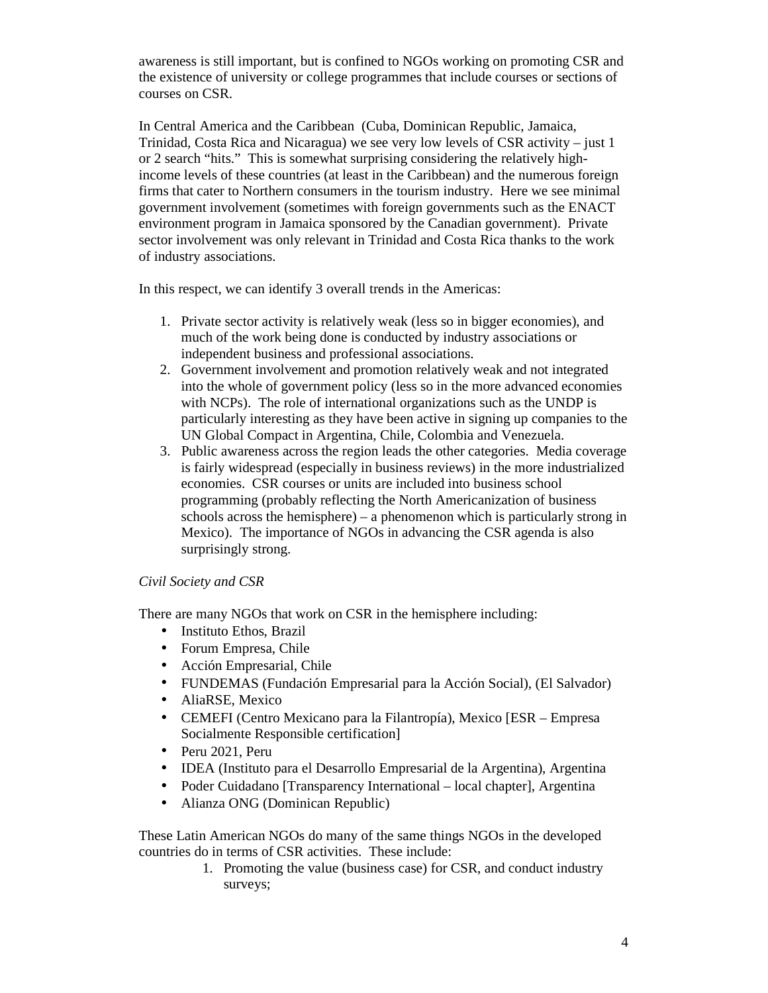awareness is still important, but is confined to NGOs working on promoting CSR and the existence of university or college programmes that include courses or sections of courses on CSR.

In Central America and the Caribbean (Cuba, Dominican Republic, Jamaica, Trinidad, Costa Rica and Nicaragua) we see very low levels of CSR activity – just 1 or 2 search "hits." This is somewhat surprising considering the relatively highincome levels of these countries (at least in the Caribbean) and the numerous foreign firms that cater to Northern consumers in the tourism industry. Here we see minimal government involvement (sometimes with foreign governments such as the ENACT environment program in Jamaica sponsored by the Canadian government). Private sector involvement was only relevant in Trinidad and Costa Rica thanks to the work of industry associations.

In this respect, we can identify 3 overall trends in the Americas:

- 1. Private sector activity is relatively weak (less so in bigger economies), and much of the work being done is conducted by industry associations or independent business and professional associations.
- 2. Government involvement and promotion relatively weak and not integrated into the whole of government policy (less so in the more advanced economies with NCPs). The role of international organizations such as the UNDP is particularly interesting as they have been active in signing up companies to the UN Global Compact in Argentina, Chile, Colombia and Venezuela.
- 3. Public awareness across the region leads the other categories. Media coverage is fairly widespread (especially in business reviews) in the more industrialized economies. CSR courses or units are included into business school programming (probably reflecting the North Americanization of business schools across the hemisphere) – a phenomenon which is particularly strong in Mexico). The importance of NGOs in advancing the CSR agenda is also surprisingly strong.

### *Civil Society and CSR*

There are many NGOs that work on CSR in the hemisphere including:

- Instituto Ethos, Brazil
- Forum Empresa, Chile
- Acción Empresarial, Chile
- FUNDEMAS (Fundación Empresarial para la Acción Social), (El Salvador)
- AliaRSE, Mexico
- CEMEFI (Centro Mexicano para la Filantropía), Mexico [ESR Empresa Socialmente Responsible certification]
- Peru 2021, Peru
- IDEA (Instituto para el Desarrollo Empresarial de la Argentina), Argentina
- Poder Cuidadano [Transparency International local chapter], Argentina
- Alianza ONG (Dominican Republic)

These Latin American NGOs do many of the same things NGOs in the developed countries do in terms of CSR activities. These include:

1. Promoting the value (business case) for CSR, and conduct industry surveys;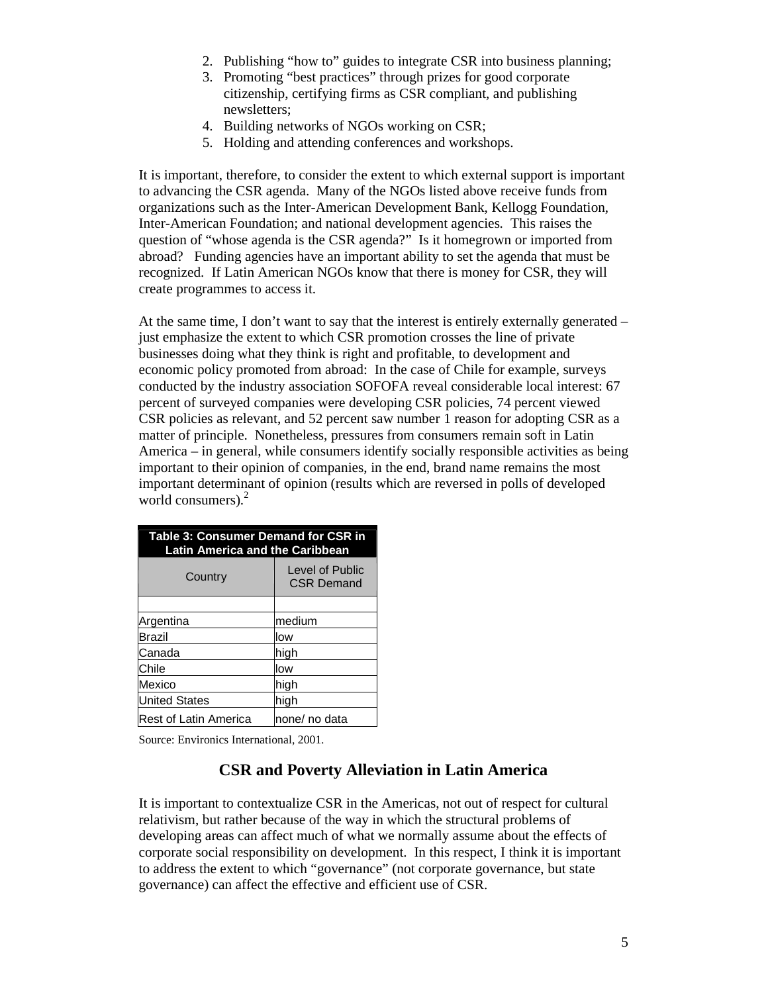- 2. Publishing "how to" guides to integrate CSR into business planning;
- 3. Promoting "best practices" through prizes for good corporate citizenship, certifying firms as CSR compliant, and publishing newsletters;
- 4. Building networks of NGOs working on CSR;
- 5. Holding and attending conferences and workshops.

It is important, therefore, to consider the extent to which external support is important to advancing the CSR agenda. Many of the NGOs listed above receive funds from organizations such as the Inter-American Development Bank, Kellogg Foundation, Inter-American Foundation; and national development agencies. This raises the question of "whose agenda is the CSR agenda?" Is it homegrown or imported from abroad? Funding agencies have an important ability to set the agenda that must be recognized. If Latin American NGOs know that there is money for CSR, they will create programmes to access it.

At the same time, I don't want to say that the interest is entirely externally generated – just emphasize the extent to which CSR promotion crosses the line of private businesses doing what they think is right and profitable, to development and economic policy promoted from abroad: In the case of Chile for example, surveys conducted by the industry association SOFOFA reveal considerable local interest: 67 percent of surveyed companies were developing CSR policies, 74 percent viewed CSR policies as relevant, and 52 percent saw number 1 reason for adopting CSR as a matter of principle. Nonetheless, pressures from consumers remain soft in Latin America – in general, while consumers identify socially responsible activities as being important to their opinion of companies, in the end, brand name remains the most important determinant of opinion (results which are reversed in polls of developed world consumers). $2^2$ 

| Table 3: Consumer Demand for CSR in<br><b>Latin America and the Caribbean</b> |                                      |  |  |  |
|-------------------------------------------------------------------------------|--------------------------------------|--|--|--|
| Country                                                                       | Level of Public<br><b>CSR Demand</b> |  |  |  |
|                                                                               |                                      |  |  |  |
| Argentina                                                                     | medium                               |  |  |  |
| Brazil                                                                        | low                                  |  |  |  |
| Canada                                                                        | high                                 |  |  |  |
| Chile                                                                         | low                                  |  |  |  |
| Mexico                                                                        | high                                 |  |  |  |
| <b>United States</b>                                                          | high                                 |  |  |  |
| <b>Rest of Latin America</b>                                                  | none/ no data                        |  |  |  |

Source: Environics International, 2001.

### **CSR and Poverty Alleviation in Latin America**

It is important to contextualize CSR in the Americas, not out of respect for cultural relativism, but rather because of the way in which the structural problems of developing areas can affect much of what we normally assume about the effects of corporate social responsibility on development. In this respect, I think it is important to address the extent to which "governance" (not corporate governance, but state governance) can affect the effective and efficient use of CSR.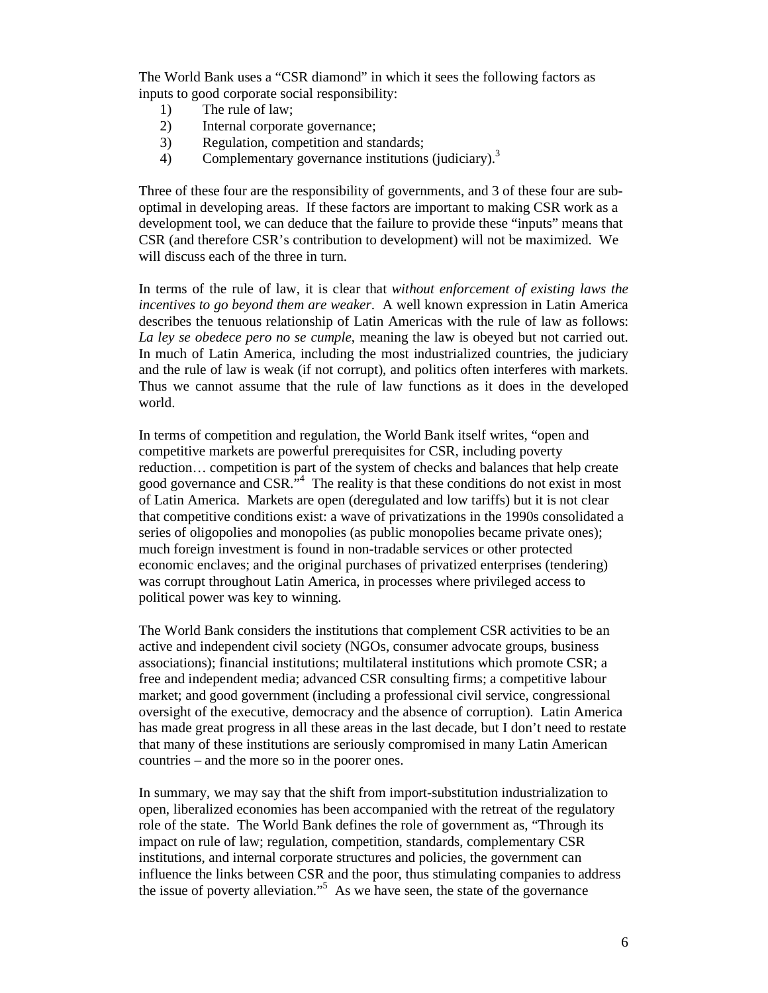The World Bank uses a "CSR diamond" in which it sees the following factors as inputs to good corporate social responsibility:

- 1) The rule of law;
- 2) Internal corporate governance;
- 3) Regulation, competition and standards;
- 4) Complementary governance institutions (judiciary).<sup>3</sup>

Three of these four are the responsibility of governments, and 3 of these four are suboptimal in developing areas. If these factors are important to making CSR work as a development tool, we can deduce that the failure to provide these "inputs" means that CSR (and therefore CSR's contribution to development) will not be maximized. We will discuss each of the three in turn.

In terms of the rule of law, it is clear that *without enforcement of existing laws the incentives to go beyond them are weaker*. A well known expression in Latin America describes the tenuous relationship of Latin Americas with the rule of law as follows: *La ley se obedece pero no se cumple*, meaning the law is obeyed but not carried out. In much of Latin America, including the most industrialized countries, the judiciary and the rule of law is weak (if not corrupt), and politics often interferes with markets. Thus we cannot assume that the rule of law functions as it does in the developed world.

In terms of competition and regulation, the World Bank itself writes, "open and competitive markets are powerful prerequisites for CSR, including poverty reduction… competition is part of the system of checks and balances that help create good governance and  $CSR.^{^{\mathfrak{Z}}\mathfrak{A}}$  The reality is that these conditions do not exist in most of Latin America. Markets are open (deregulated and low tariffs) but it is not clear that competitive conditions exist: a wave of privatizations in the 1990s consolidated a series of oligopolies and monopolies (as public monopolies became private ones); much foreign investment is found in non-tradable services or other protected economic enclaves; and the original purchases of privatized enterprises (tendering) was corrupt throughout Latin America, in processes where privileged access to political power was key to winning.

The World Bank considers the institutions that complement CSR activities to be an active and independent civil society (NGOs, consumer advocate groups, business associations); financial institutions; multilateral institutions which promote CSR; a free and independent media; advanced CSR consulting firms; a competitive labour market; and good government (including a professional civil service, congressional oversight of the executive, democracy and the absence of corruption). Latin America has made great progress in all these areas in the last decade, but I don't need to restate that many of these institutions are seriously compromised in many Latin American countries – and the more so in the poorer ones.

In summary, we may say that the shift from import-substitution industrialization to open, liberalized economies has been accompanied with the retreat of the regulatory role of the state. The World Bank defines the role of government as, "Through its impact on rule of law; regulation, competition, standards, complementary CSR institutions, and internal corporate structures and policies, the government can influence the links between CSR and the poor, thus stimulating companies to address the issue of poverty alleviation."5 As we have seen, the state of the governance